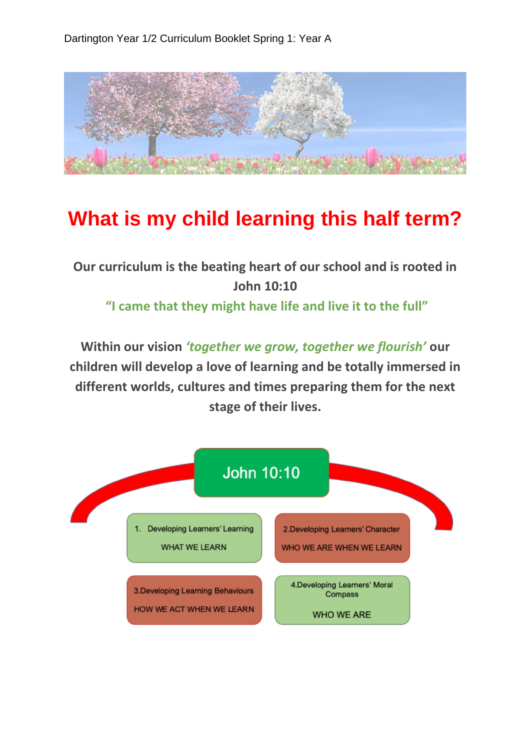

## **What is my child learning this half term?**

## **Our curriculum is the beating heart of our school and is rooted in John 10:10**

**"I came that they might have life and live it to the full"**

**Within our vision** *'together we grow, together we flourish'* **our children will develop a love of learning and be totally immersed in different worlds, cultures and times preparing them for the next stage of their lives.**

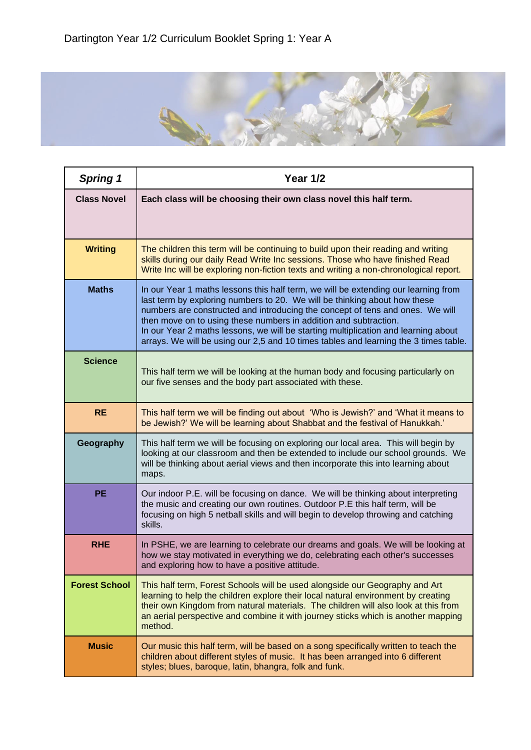

| <b>Spring 1</b>      | <b>Year 1/2</b>                                                                                                                                                                                                                                                                                                                                                                                                                                                                                    |
|----------------------|----------------------------------------------------------------------------------------------------------------------------------------------------------------------------------------------------------------------------------------------------------------------------------------------------------------------------------------------------------------------------------------------------------------------------------------------------------------------------------------------------|
| <b>Class Novel</b>   | Each class will be choosing their own class novel this half term.                                                                                                                                                                                                                                                                                                                                                                                                                                  |
| <b>Writing</b>       | The children this term will be continuing to build upon their reading and writing<br>skills during our daily Read Write Inc sessions. Those who have finished Read<br>Write Inc will be exploring non-fiction texts and writing a non-chronological report.                                                                                                                                                                                                                                        |
| <b>Maths</b>         | In our Year 1 maths lessons this half term, we will be extending our learning from<br>last term by exploring numbers to 20. We will be thinking about how these<br>numbers are constructed and introducing the concept of tens and ones. We will<br>then move on to using these numbers in addition and subtraction.<br>In our Year 2 maths lessons, we will be starting multiplication and learning about<br>arrays. We will be using our 2,5 and 10 times tables and learning the 3 times table. |
| <b>Science</b>       | This half term we will be looking at the human body and focusing particularly on<br>our five senses and the body part associated with these.                                                                                                                                                                                                                                                                                                                                                       |
| <b>RE</b>            | This half term we will be finding out about 'Who is Jewish?' and 'What it means to<br>be Jewish?' We will be learning about Shabbat and the festival of Hanukkah.'                                                                                                                                                                                                                                                                                                                                 |
| Geography            | This half term we will be focusing on exploring our local area. This will begin by<br>looking at our classroom and then be extended to include our school grounds. We<br>will be thinking about aerial views and then incorporate this into learning about<br>maps.                                                                                                                                                                                                                                |
| <b>PE</b>            | Our indoor P.E. will be focusing on dance. We will be thinking about interpreting<br>the music and creating our own routines. Outdoor P.E this half term, will be<br>focusing on high 5 netball skills and will begin to develop throwing and catching<br>skills.                                                                                                                                                                                                                                  |
| <b>RHE</b>           | In PSHE, we are learning to celebrate our dreams and goals. We will be looking at<br>how we stay motivated in everything we do, celebrating each other's successes<br>and exploring how to have a positive attitude.                                                                                                                                                                                                                                                                               |
| <b>Forest School</b> | This half term, Forest Schools will be used alongside our Geography and Art<br>learning to help the children explore their local natural environment by creating<br>their own Kingdom from natural materials. The children will also look at this from<br>an aerial perspective and combine it with journey sticks which is another mapping<br>method.                                                                                                                                             |
| <b>Music</b>         | Our music this half term, will be based on a song specifically written to teach the<br>children about different styles of music. It has been arranged into 6 different<br>styles; blues, baroque, latin, bhangra, folk and funk.                                                                                                                                                                                                                                                                   |